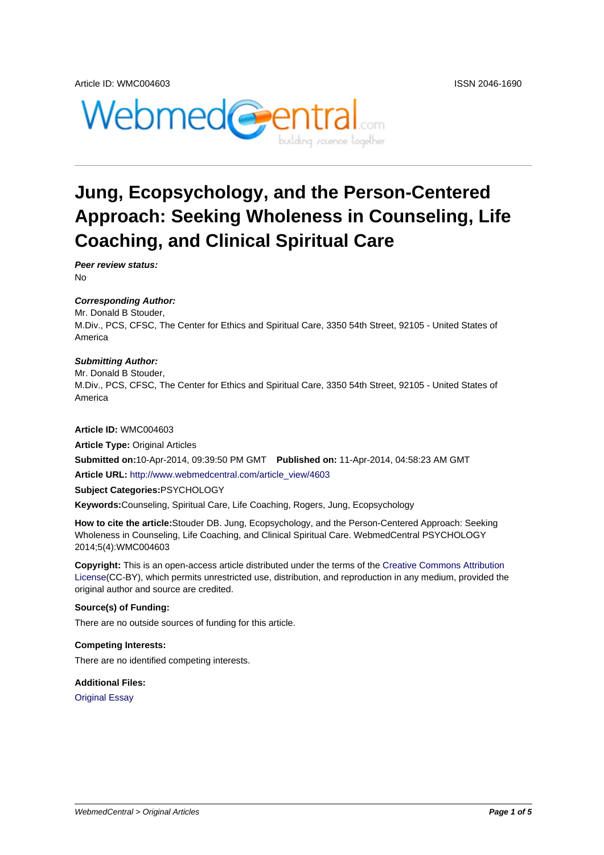



# **Jung, Ecopsychology, and the Person-Centered Approach: Seeking Wholeness in Counseling, Life Coaching, and Clinical Spiritual Care**

**Peer review status:** No

#### **Corresponding Author:**

Mr. Donald B Stouder, M.Div., PCS, CFSC, The Center for Ethics and Spiritual Care, 3350 54th Street, 92105 - United States of America

#### **Submitting Author:**

Mr. Donald B Stouder, M.Div., PCS, CFSC, The Center for Ethics and Spiritual Care, 3350 54th Street, 92105 - United States of America

#### **Article ID:** WMC004603

**Article Type:** Original Articles

**Submitted on:**10-Apr-2014, 09:39:50 PM GMT **Published on:** 11-Apr-2014, 04:58:23 AM GMT

**Article URL:** http://www.webmedcentral.com/article\_view/4603

**Subject Categories:**PSYCHOLOGY

**Keywords:**Counseling, Spiritual Care, Life Coaching, Rogers, Jung, Ecopsychology

**How to cite the article:**[Stouder DB. Jung, Ecopsychology, and](http://www.webmedcentral.com/article_view/4603) the Person-Centered Approach: Seeking Wholeness in Counseling, Life Coaching, and Clinical Spiritual Care. WebmedCentral PSYCHOLOGY 2014;5(4):WMC004603

**Copyright:** This is an open-access article distributed under the terms of the Creative Commons Attribution License(CC-BY), which permits unrestricted use, distribution, and reproduction in any medium, provided the original author and source are credited.

#### **Source(s) of Funding:**

[There ar](http://creativecommons.org/licenses/by/3.0/)e no outside sources of funding for this article.

#### **Competing Interests:**

There are no identified competing interests.

#### **Additional Files:**

Original Essay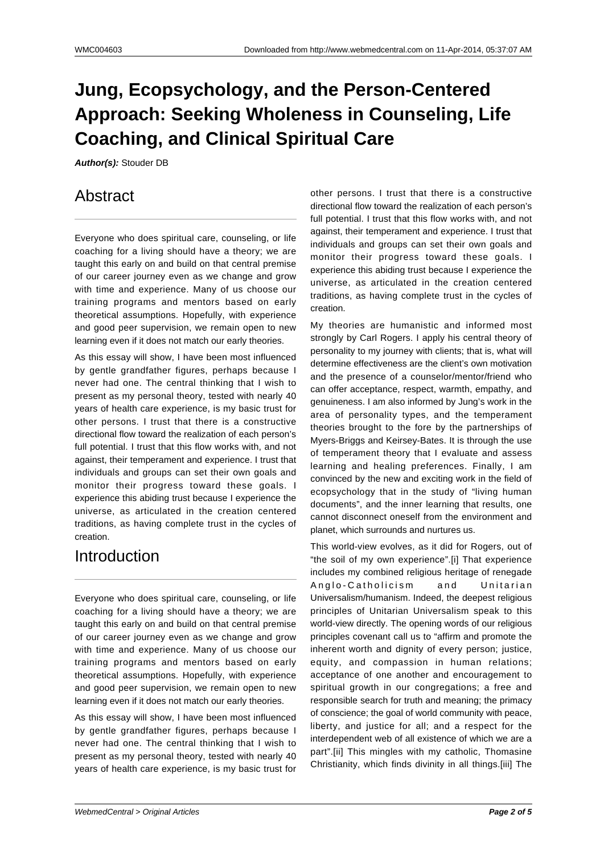# **Jung, Ecopsychology, and the Person-Centered Approach: Seeking Wholeness in Counseling, Life Coaching, and Clinical Spiritual Care**

**Author(s):** Stouder DB

## Abstract

Everyone who does spiritual care, counseling, or life coaching for a living should have a theory; we are taught this early on and build on that central premise of our career journey even as we change and grow with time and experience. Many of us choose our training programs and mentors based on early theoretical assumptions. Hopefully, with experience and good peer supervision, we remain open to new learning even if it does not match our early theories.

As this essay will show, I have been most influenced by gentle grandfather figures, perhaps because I never had one. The central thinking that I wish to present as my personal theory, tested with nearly 40 years of health care experience, is my basic trust for other persons. I trust that there is a constructive directional flow toward the realization of each person's full potential. I trust that this flow works with, and not against, their temperament and experience. I trust that individuals and groups can set their own goals and monitor their progress toward these goals. I experience this abiding trust because I experience the universe, as articulated in the creation centered traditions, as having complete trust in the cycles of creation.

# Introduction

Everyone who does spiritual care, counseling, or life coaching for a living should have a theory; we are taught this early on and build on that central premise of our career journey even as we change and grow with time and experience. Many of us choose our training programs and mentors based on early theoretical assumptions. Hopefully, with experience and good peer supervision, we remain open to new learning even if it does not match our early theories.

As this essay will show, I have been most influenced by gentle grandfather figures, perhaps because I never had one. The central thinking that I wish to present as my personal theory, tested with nearly 40 years of health care experience, is my basic trust for

other persons. I trust that there is a constructive directional flow toward the realization of each person's full potential. I trust that this flow works with, and not against, their temperament and experience. I trust that individuals and groups can set their own goals and monitor their progress toward these goals. I experience this abiding trust because I experience the universe, as articulated in the creation centered traditions, as having complete trust in the cycles of creation.

My theories are humanistic and informed most strongly by Carl Rogers. I apply his central theory of personality to my journey with clients; that is, what will determine effectiveness are the client's own motivation and the presence of a counselor/mentor/friend who can offer acceptance, respect, warmth, empathy, and genuineness. I am also informed by Jung's work in the area of personality types, and the temperament theories brought to the fore by the partnerships of Myers-Briggs and Keirsey-Bates. It is through the use of temperament theory that I evaluate and assess learning and healing preferences. Finally, I am convinced by the new and exciting work in the field of ecopsychology that in the study of "living human documents", and the inner learning that results, one cannot disconnect oneself from the environment and planet, which surrounds and nurtures us.

This world-view evolves, as it did for Rogers, out of "the soil of my own experience".[i] That experience includes my combined religious heritage of renegade Anglo-Catholicism and Unitarian Universalism/humanism. Indeed, the deepest religious principles of Unitarian Universalism speak to this world-view directly. The opening words of our religious principles covenant call us to "affirm and promote the inherent worth and dignity of every person; justice, equity, and compassion in human relations; acceptance of one another and encouragement to spiritual growth in our congregations; a free and responsible search for truth and meaning; the primacy of conscience; the goal of world community with peace, liberty, and justice for all; and a respect for the interdependent web of all existence of which we are a part".[ii] This mingles with my catholic, Thomasine Christianity, which finds divinity in all things.[iii] The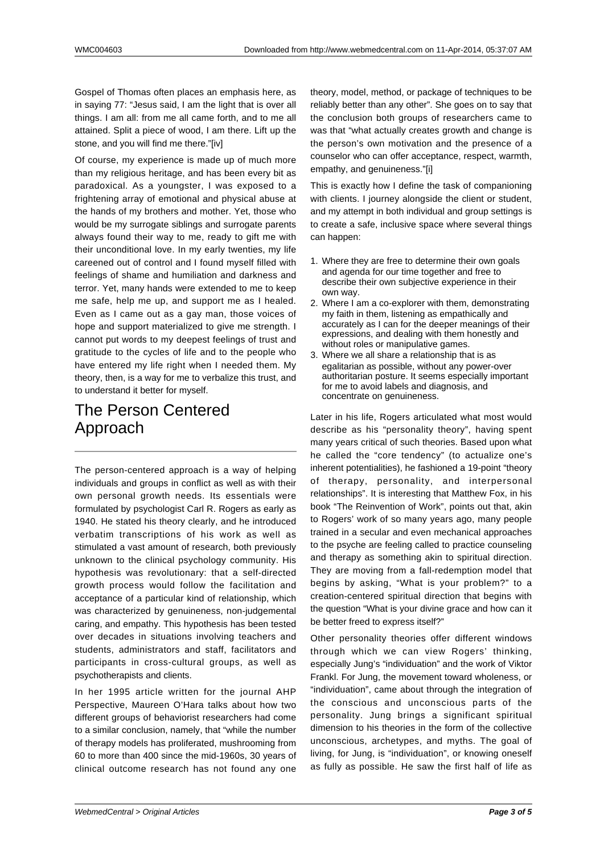Gospel of Thomas often places an emphasis here, as in saying 77: "Jesus said, I am the light that is over all things. I am all: from me all came forth, and to me all attained. Split a piece of wood, I am there. Lift up the stone, and you will find me there."[iv]

Of course, my experience is made up of much more than my religious heritage, and has been every bit as paradoxical. As a youngster, I was exposed to a frightening array of emotional and physical abuse at the hands of my brothers and mother. Yet, those who would be my surrogate siblings and surrogate parents always found their way to me, ready to gift me with their unconditional love. In my early twenties, my life careened out of control and I found myself filled with feelings of shame and humiliation and darkness and terror. Yet, many hands were extended to me to keep me safe, help me up, and support me as I healed. Even as I came out as a gay man, those voices of hope and support materialized to give me strength. I cannot put words to my deepest feelings of trust and gratitude to the cycles of life and to the people who have entered my life right when I needed them. My theory, then, is a way for me to verbalize this trust, and to understand it better for myself.

# The Person Centered Approach

The person-centered approach is a way of helping individuals and groups in conflict as well as with their own personal growth needs. Its essentials were formulated by psychologist Carl R. Rogers as early as 1940. He stated his theory clearly, and he introduced verbatim transcriptions of his work as well as stimulated a vast amount of research, both previously unknown to the clinical psychology community. His hypothesis was revolutionary: that a self-directed growth process would follow the facilitation and acceptance of a particular kind of relationship, which was characterized by genuineness, non-judgemental caring, and empathy. This hypothesis has been tested over decades in situations involving teachers and students, administrators and staff, facilitators and participants in cross-cultural groups, as well as psychotherapists and clients.

In her 1995 article written for the journal AHP Perspective, Maureen O'Hara talks about how two different groups of behaviorist researchers had come to a similar conclusion, namely, that "while the number of therapy models has proliferated, mushrooming from 60 to more than 400 since the mid-1960s, 30 years of clinical outcome research has not found any one

theory, model, method, or package of techniques to be reliably better than any other". She goes on to say that the conclusion both groups of researchers came to was that "what actually creates growth and change is the person's own motivation and the presence of a counselor who can offer acceptance, respect, warmth, empathy, and genuineness."[i]

This is exactly how I define the task of companioning with clients. I journey alongside the client or student, and my attempt in both individual and group settings is to create a safe, inclusive space where several things can happen:

- 1. Where they are free to determine their own goals and agenda for our time together and free to describe their own subjective experience in their own way.
- 2. Where I am a co-explorer with them, demonstrating my faith in them, listening as empathically and accurately as I can for the deeper meanings of their expressions, and dealing with them honestly and without roles or manipulative games.
- 3. Where we all share a relationship that is as egalitarian as possible, without any power-over authoritarian posture. It seems especially important for me to avoid labels and diagnosis, and concentrate on genuineness.

Later in his life, Rogers articulated what most would describe as his "personality theory", having spent many years critical of such theories. Based upon what he called the "core tendency" (to actualize one's inherent potentialities), he fashioned a 19-point "theory of therapy, personality, and interpersonal relationships". It is interesting that Matthew Fox, in his book "The Reinvention of Work", points out that, akin to Rogers' work of so many years ago, many people trained in a secular and even mechanical approaches to the psyche are feeling called to practice counseling and therapy as something akin to spiritual direction. They are moving from a fall-redemption model that begins by asking, "What is your problem?" to a creation-centered spiritual direction that begins with the question "What is your divine grace and how can it be better freed to express itself?"

Other personality theories offer different windows through which we can view Rogers' thinking, especially Jung's "individuation" and the work of Viktor Frankl. For Jung, the movement toward wholeness, or "individuation", came about through the integration of the conscious and unconscious parts of the personality. Jung brings a significant spiritual dimension to his theories in the form of the collective unconscious, archetypes, and myths. The goal of living, for Jung, is "individuation", or knowing oneself as fully as possible. He saw the first half of life as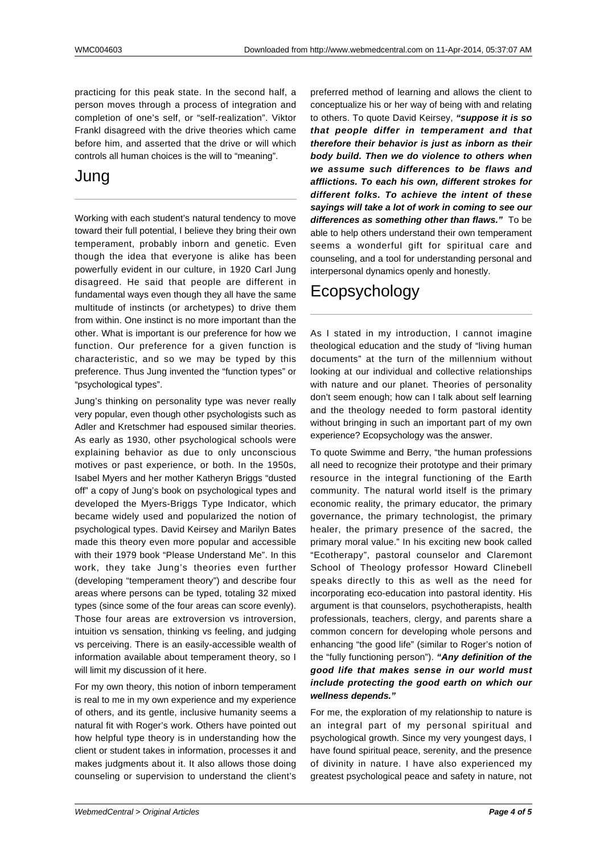practicing for this peak state. In the second half, a person moves through a process of integration and completion of one's self, or "self-realization". Viktor Frankl disagreed with the drive theories which came before him, and asserted that the drive or will which controls all human choices is the will to "meaning".

### Jung

Working with each student's natural tendency to move toward their full potential, I believe they bring their own temperament, probably inborn and genetic. Even though the idea that everyone is alike has been powerfully evident in our culture, in 1920 Carl Jung disagreed. He said that people are different in fundamental ways even though they all have the same multitude of instincts (or archetypes) to drive them from within. One instinct is no more important than the other. What is important is our preference for how we function. Our preference for a given function is characteristic, and so we may be typed by this preference. Thus Jung invented the "function types" or "psychological types".

Jung's thinking on personality type was never really very popular, even though other psychologists such as Adler and Kretschmer had espoused similar theories. As early as 1930, other psychological schools were explaining behavior as due to only unconscious motives or past experience, or both. In the 1950s, Isabel Myers and her mother Katheryn Briggs "dusted off" a copy of Jung's book on psychological types and developed the Myers-Briggs Type Indicator, which became widely used and popularized the notion of psychological types. David Keirsey and Marilyn Bates made this theory even more popular and accessible with their 1979 book "Please Understand Me". In this work, they take Jung's theories even further (developing "temperament theory") and describe four areas where persons can be typed, totaling 32 mixed types (since some of the four areas can score evenly). Those four areas are extroversion vs introversion, intuition vs sensation, thinking vs feeling, and judging vs perceiving. There is an easily-accessible wealth of information available about temperament theory, so I will limit my discussion of it here.

For my own theory, this notion of inborn temperament is real to me in my own experience and my experience of others, and its gentle, inclusive humanity seems a natural fit with Roger's work. Others have pointed out how helpful type theory is in understanding how the client or student takes in information, processes it and makes judgments about it. It also allows those doing counseling or supervision to understand the client's preferred method of learning and allows the client to conceptualize his or her way of being with and relating to others. To quote David Keirsey, **"suppose it is so that people differ in temperament and that therefore their behavior is just as inborn as their body build. Then we do violence to others when we assume such differences to be flaws and afflictions. To each his own, different strokes for different folks. To achieve the intent of these sayings will take a lot of work in coming to see our differences as something other than flaws."** To be able to help others understand their own temperament seems a wonderful gift for spiritual care and counseling, and a tool for understanding personal and interpersonal dynamics openly and honestly.

## Ecopsychology

As I stated in my introduction, I cannot imagine theological education and the study of "living human documents" at the turn of the millennium without looking at our individual and collective relationships with nature and our planet. Theories of personality don't seem enough; how can I talk about self learning and the theology needed to form pastoral identity without bringing in such an important part of my own experience? Ecopsychology was the answer.

To quote Swimme and Berry, "the human professions all need to recognize their prototype and their primary resource in the integral functioning of the Earth community. The natural world itself is the primary economic reality, the primary educator, the primary governance, the primary technologist, the primary healer, the primary presence of the sacred, the primary moral value." In his exciting new book called "Ecotherapy", pastoral counselor and Claremont School of Theology professor Howard Clinebell speaks directly to this as well as the need for incorporating eco-education into pastoral identity. His argument is that counselors, psychotherapists, health professionals, teachers, clergy, and parents share a common concern for developing whole persons and enhancing "the good life" (similar to Roger's notion of the "fully functioning person"). **"Any definition of the good life that makes sense in our world must include protecting the good earth on which our wellness depends."**

For me, the exploration of my relationship to nature is an integral part of my personal spiritual and psychological growth. Since my very youngest days, I have found spiritual peace, serenity, and the presence of divinity in nature. I have also experienced my greatest psychological peace and safety in nature, not